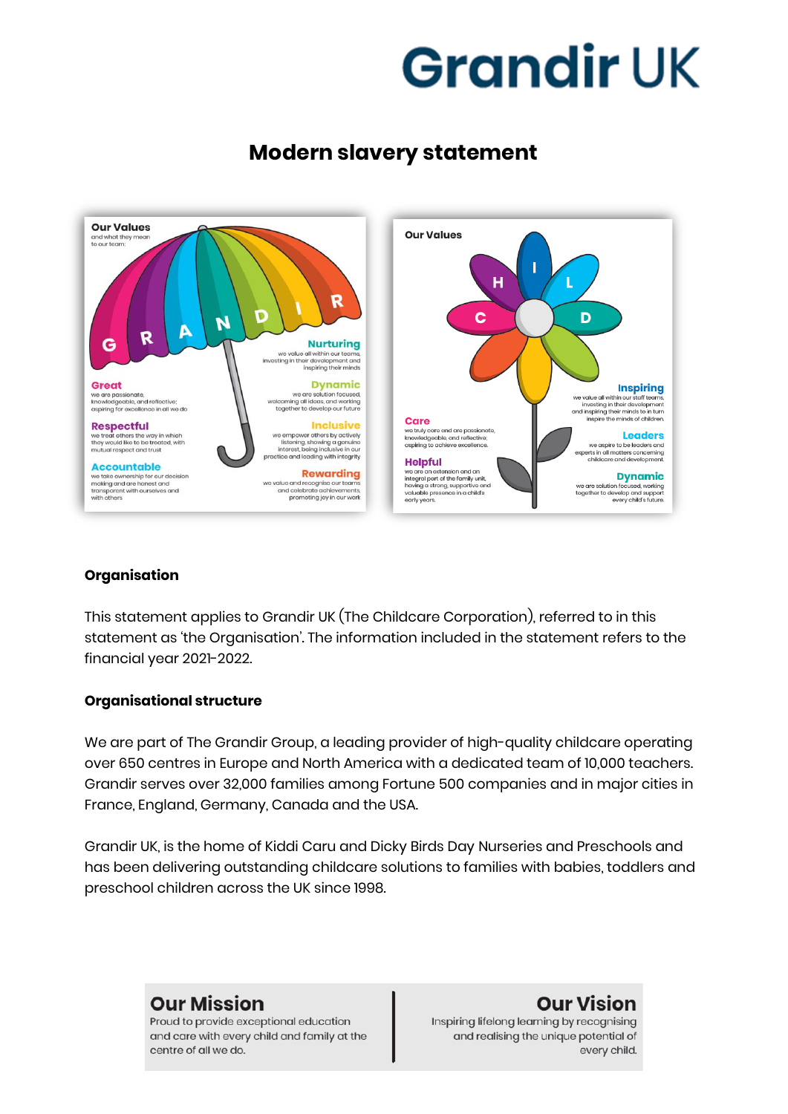# **Modern slavery statement**



### **Organisation**

This statement applies to Grandir UK (The Childcare Corporation), referred to in this statement as 'the Organisation'. The information included in the statement refers to the financial year 2021-2022.

#### **Organisational structure**

We are part of The Grandir Group, a leading provider of high-quality childcare operating over 650 centres in Europe and North America with a dedicated team of 10,000 teachers. Grandir serves over 32,000 families among Fortune 500 companies and in major cities in France, England, Germany, Canada and the USA.

Grandir UK, is the home of Kiddi Caru and Dicky Birds Day Nurseries and Preschools and has been delivering outstanding childcare solutions to families with babies, toddlers and preschool children across the UK since 1998.

## **Our Mission**

Proud to provide exceptional education and care with every child and family at the centre of all we do.

## **Our Vision**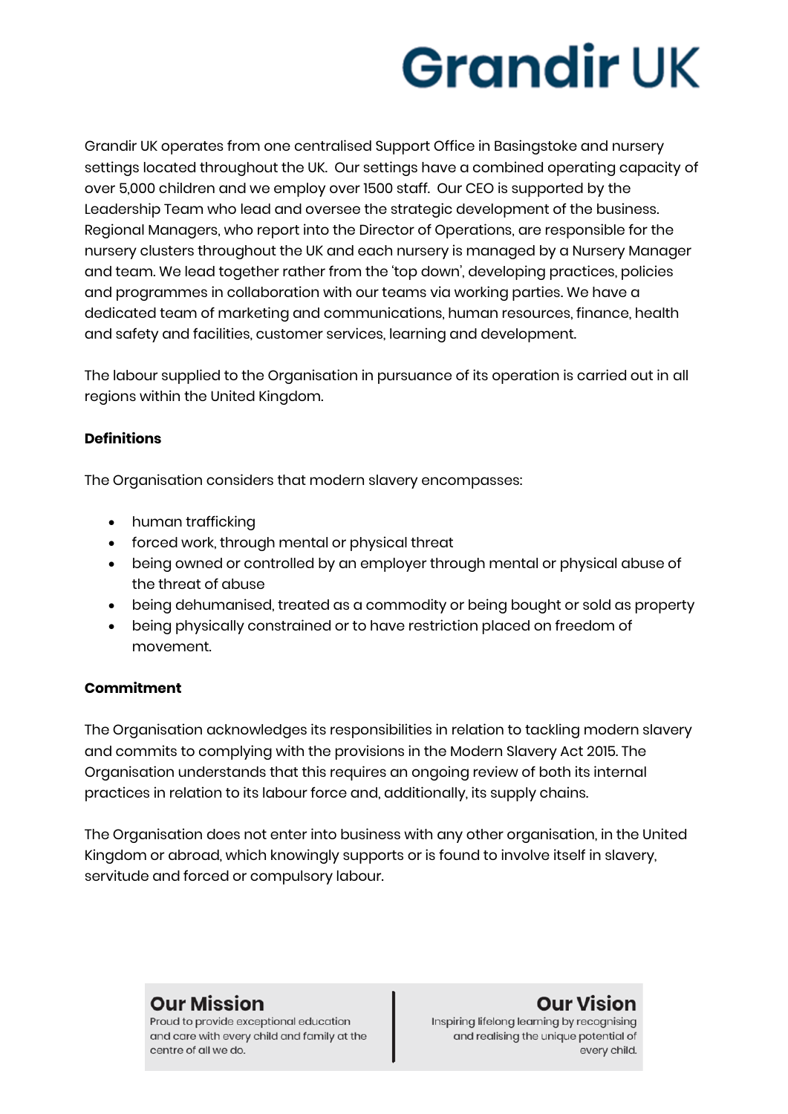Grandir UK operates from one centralised Support Office in Basingstoke and nursery settings located throughout the UK. Our settings have a combined operating capacity of over 5,000 children and we employ over 1500 staff. Our CEO is supported by the Leadership Team who lead and oversee the strategic development of the business. Regional Managers, who report into the Director of Operations, are responsible for the nursery clusters throughout the UK and each nursery is managed by a Nursery Manager and team. We lead together rather from the 'top down', developing practices, policies and programmes in collaboration with our teams via working parties. We have a dedicated team of marketing and communications, human resources, finance, health and safety and facilities, customer services, learning and development.

The labour supplied to the Organisation in pursuance of its operation is carried out in all regions within the United Kingdom.

### **Definitions**

The Organisation considers that modern slavery encompasses:

- human trafficking
- forced work, through mental or physical threat
- being owned or controlled by an employer through mental or physical abuse of the threat of abuse
- being dehumanised, treated as a commodity or being bought or sold as property
- being physically constrained or to have restriction placed on freedom of movement.

#### **Commitment**

The Organisation acknowledges its responsibilities in relation to tackling modern slavery and commits to complying with the provisions in the Modern Slavery Act 2015. The Organisation understands that this requires an ongoing review of both its internal practices in relation to its labour force and, additionally, its supply chains.

The Organisation does not enter into business with any other organisation, in the United Kingdom or abroad, which knowingly supports or is found to involve itself in slavery, servitude and forced or compulsory labour.

## **Our Mission**

Proud to provide exceptional education and care with every child and family at the centre of all we do.

## **Our Vision**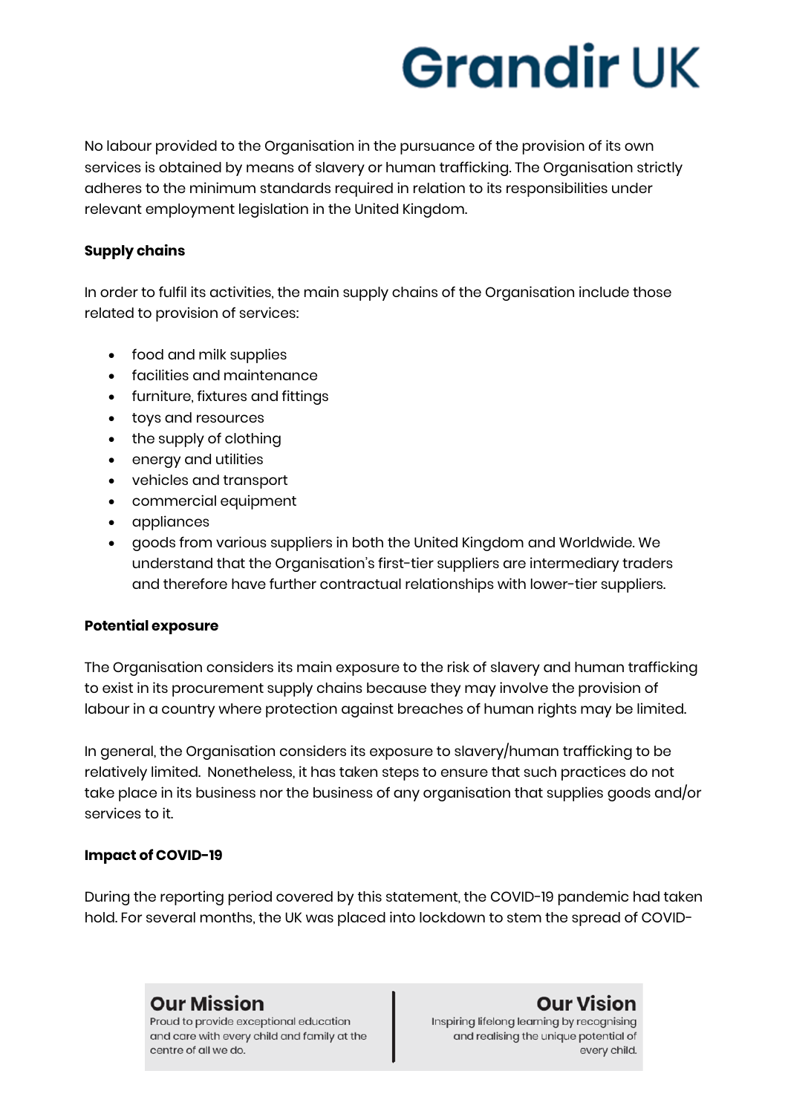No labour provided to the Organisation in the pursuance of the provision of its own services is obtained by means of slavery or human trafficking. The Organisation strictly adheres to the minimum standards required in relation to its responsibilities under relevant employment legislation in the United Kingdom.

#### **Supply chains**

In order to fulfil its activities, the main supply chains of the Organisation include those related to provision of services:

- food and milk supplies
- facilities and maintenance
- furniture, fixtures and fittings
- toys and resources
- the supply of clothing
- energy and utilities
- vehicles and transport
- commercial equipment
- appliances
- goods from various suppliers in both the United Kingdom and Worldwide. We understand that the Organisation's first-tier suppliers are intermediary traders and therefore have further contractual relationships with lower-tier suppliers.

### **Potential exposure**

The Organisation considers its main exposure to the risk of slavery and human trafficking to exist in its procurement supply chains because they may involve the provision of labour in a country where protection against breaches of human rights may be limited.

In general, the Organisation considers its exposure to slavery/human trafficking to be relatively limited. Nonetheless, it has taken steps to ensure that such practices do not take place in its business nor the business of any organisation that supplies goods and/or services to it.

## **Impact of COVID-19**

During the reporting period covered by this statement, the COVID-19 pandemic had taken hold. For several months, the UK was placed into lockdown to stem the spread of COVID-

## **Our Mission**

Proud to provide exceptional education and care with every child and family at the centre of all we do.

## **Our Vision**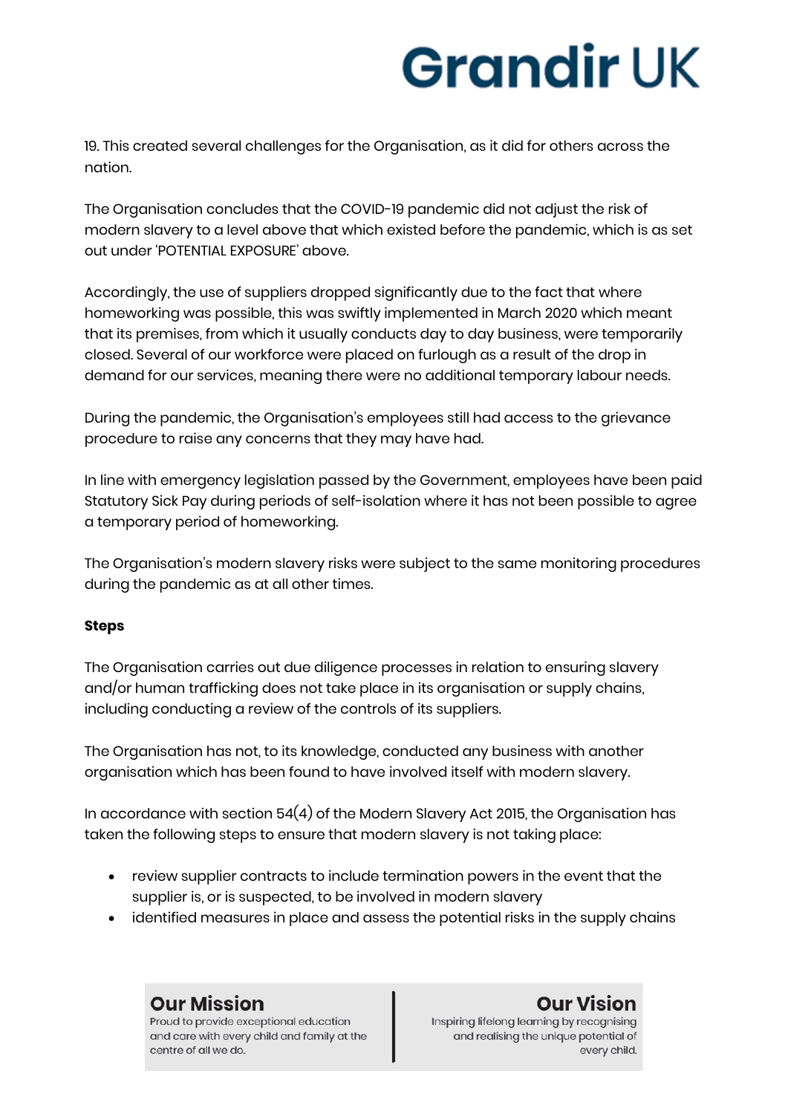19. This created several challenges for the Organisation, as it did for others across the nation.

The Organisation concludes that the COVID-19 pandemic did not adjust the risk of modern slavery to a level above that which existed before the pandemic, which is as set out under 'POTENTIAL EXPOSURE' above.

Accordingly, the use of suppliers dropped significantly due to the fact that where homeworking was possible, this was swiftly implemented in March 2020 which meant that its premises, from which it usually conducts day to day business, were temporarily closed. Several of our workforce were placed on furlough as a result of the drop in demand for our services, meaning there were no additional temporary labour needs.

During the pandemic, the Organisation's employees still had access to the grievance procedure to raise any concerns that they may have had.

In line with emergency legislation passed by the Government, employees have been paid Statutory Sick Pay during periods of self-isolation where it has not been possible to agree a temporary period of homeworking.

The Organisation's modern slavery risks were subject to the same monitoring procedures during the pandemic as at all other times.

### **Steps**

The Organisation carries out due diligence processes in relation to ensuring slavery and/or human trafficking does not take place in its organisation or supply chains, including conducting a review of the controls of its suppliers.

The Organisation has not, to its knowledge, conducted any business with another organisation which has been found to have involved itself with modern slavery.

In accordance with section  $54(4)$  of the Modern Slavery Act 2015, the Organisation has taken the following steps to ensure that modern slavery is not taking place:

- review supplier contracts to include termination powers in the event that the supplier is, or is suspected, to be involved in modern slavery
- identified measures in place and assess the potential risks in the supply chains

**Our Mission** Proud to provide exceptional education

centre of all we do.

and care with every child and family at the

## **Our Vision**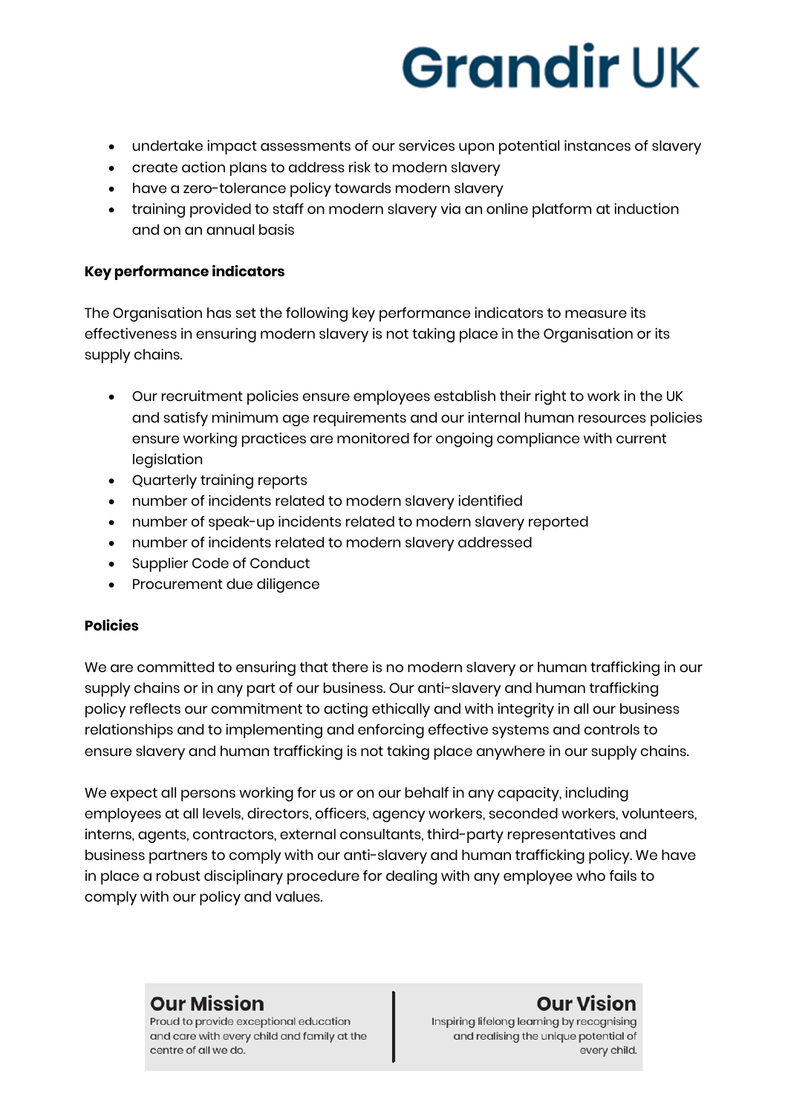- undertake impact assessments of our services upon potential instances of slavery
- create action plans to address risk to modern slavery
- have a zero-tolerance policy towards modern slavery
- training provided to staff on modern slavery via an online platform at induction and on an annual basis

### **Key performance indicators**

The Organisation has set the following key performance indicators to measure its effectiveness in ensuring modern slavery is not taking place in the Organisation or its supply chains.

- Our recruitment policies ensure employees establish their right to work in the UK and satisfy minimum age requirements and our internal human resources policies ensure working practices are monitored for ongoing compliance with current legislation
- Quarterly training reports
- number of incidents related to modern slavery identified
- number of speak-up incidents related to modern slavery reported
- number of incidents related to modern slavery addressed
- **Supplier Code of Conduct**
- Procurement due diligence

#### **Policies**

We are committed to ensuring that there is no modern slavery or human trafficking in our supply chains or in any part of our business. Our anti-slavery and human trafficking policy reflects our commitment to acting ethically and with integrity in all our business relationships and to implementing and enforcing effective systems and controls to ensure slavery and human trafficking is not taking place anywhere in our supply chains.

We expect all persons working for us or on our behalf in any capacity, including employees at all levels, directors, officers, agency workers, seconded workers, volunteers, interns, agents, contractors, external consultants, third-party representatives and business partners to comply with our anti-slavery and human trafficking policy. We have in place a robust disciplinary procedure for dealing with any employee who fails to comply with our policy and values.

## **Our Mission**

Proud to provide exceptional education and care with every child and family at the centre of all we do.

## **Our Vision**